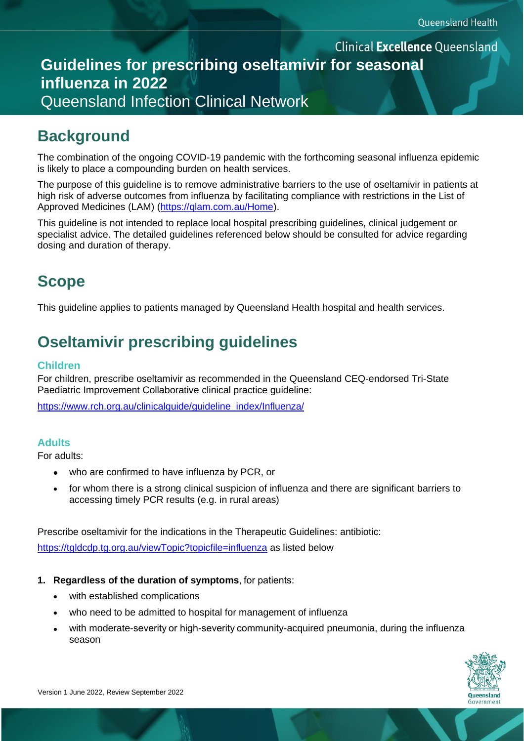### **Clinical Excellence Queensland Guidelines for prescribing oseltamivir for seasonal influenza in 2022**  Queensland Infection Clinical Network

## **Background**

The combination of the ongoing COVID-19 pandemic with the forthcoming seasonal influenza epidemic is likely to place a compounding burden on health services.

The purpose of this guideline is to remove administrative barriers to the use of oseltamivir in patients at high risk of adverse outcomes from influenza by facilitating compliance with restrictions in the List of Approved Medicines (LAM) [\(https://qlam.com.au/Home\)](https://qlam.com.au/Home).

This guideline is not intended to replace local hospital prescribing guidelines, clinical judgement or specialist advice. The detailed guidelines referenced below should be consulted for advice regarding dosing and duration of therapy.

## **Scope**

This guideline applies to patients managed by Queensland Health hospital and health services.

# **Oseltamivir prescribing guidelines**

### **Children**

For children, prescribe oseltamivir as recommended in the Queensland CEQ-endorsed Tri-State Paediatric Improvement Collaborative clinical practice guideline:

[https://www.rch.org.au/clinicalguide/guideline\\_index/Influenza/](https://www.rch.org.au/clinicalguide/guideline_index/Influenza/)

#### **Adults**

For adults:

- who are confirmed to have influenza by PCR, or
- for whom there is a strong clinical suspicion of influenza and there are significant barriers to accessing timely PCR results (e.g. in rural areas)

Prescribe oseltamivir for the indications in the Therapeutic Guidelines: antibiotic:

<https://tgldcdp.tg.org.au/viewTopic?topicfile=influenza> as listed below

- **1. Regardless of the duration of symptoms**, for patients:
	- with established complications
	- who need to be admitted to hospital for management of influenza
	- with moderate-severity or high-severity community-acquired pneumonia, during the influenza season